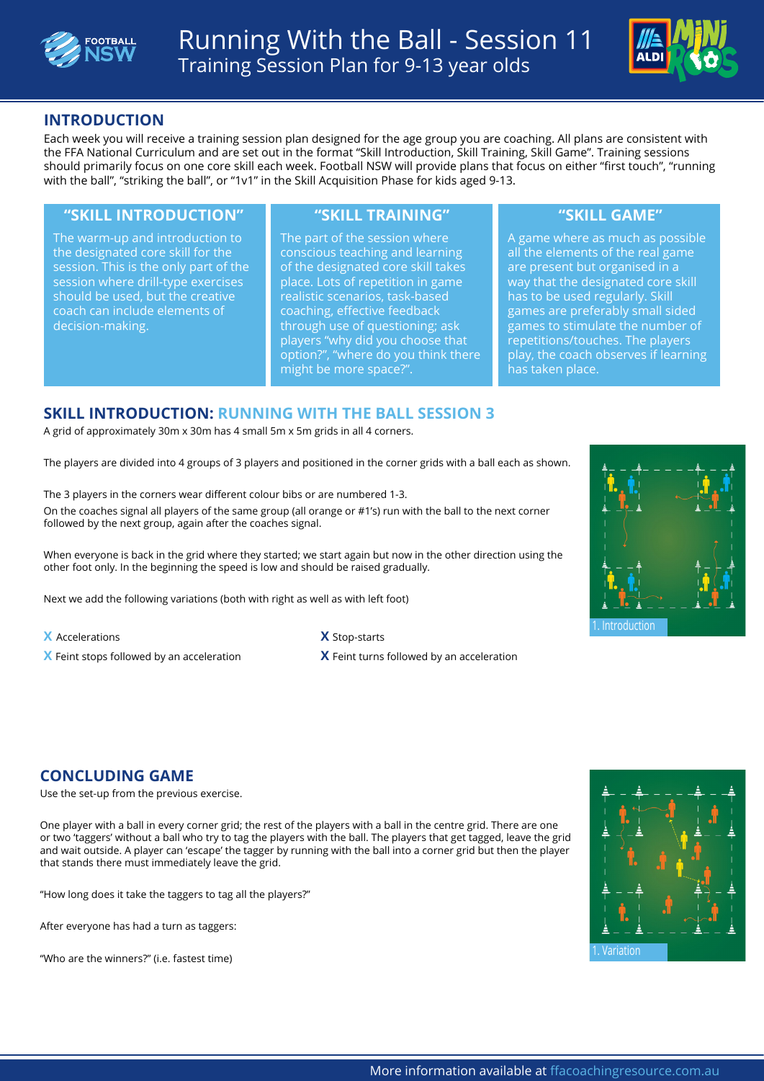



# **INTRODUCTION**

Each week you will receive a training session plan designed for the age group you are coaching. All plans are consistent with the FFA National Curriculum and are set out in the format "Skill Introduction, Skill Training, Skill Game". Training sessions should primarily focus on one core skill each week. Football NSW will provide plans that focus on either "first touch", "running with the ball", "striking the ball", or "1v1" in the Skill Acquisition Phase for kids aged 9-13.

### **"SKILL INTRODUCTION" "SKILL TRAINING" "SKILL GAME"**

The warm-up and introduction to the designated core skill for the session. This is the only part of the session where drill-type exercises should be used, but the creative coach can include elements of decision-making.

The part of the session where conscious teaching and learning of the designated core skill takes place. Lots of repetition in game realistic scenarios, task-based coaching, effective feedback through use of questioning; ask players "why did you choose that option?", "where do you think there might be more space?".

A game where as much as possible all the elements of the real game are present but organised in a way that the designated core skill has to be used regularly. Skill games are preferably small sided games to stimulate the number of repetitions/touches. The players play, the coach observes if learning has taken place.

### **SKILL INTRODUCTION: RUNNING WITH THE BALL SESSION 3**

A grid of approximately 30m x 30m has 4 small 5m x 5m grids in all 4 corners.

The players are divided into 4 groups of 3 players and positioned in the corner grids with a ball each as shown.

The 3 players in the corners wear different colour bibs or are numbered 1-3.

On the coaches signal all players of the same group (all orange or #1's) run with the ball to the next corner followed by the next group, again after the coaches signal.

When everyone is back in the grid where they started; we start again but now in the other direction using the other foot only. In the beginning the speed is low and should be raised gradually.

Next we add the following variations (both with right as well as with left foot)

- **X** Accelerations **X** Stop-starts
- 

**X** Feint stops followed by an acceleration **X** Feint turns followed by an acceleration



## **CONCLUDING GAME**

Use the set-up from the previous exercise.

One player with a ball in every corner grid; the rest of the players with a ball in the centre grid. There are one or two 'taggers' without a ball who try to tag the players with the ball. The players that get tagged, leave the grid and wait outside. A player can 'escape' the tagger by running with the ball into a corner grid but then the player that stands there must immediately leave the grid.

"How long does it take the taggers to tag all the players?"

After everyone has had a turn as taggers:

"Who are the winners?" (i.e. fastest time) 1. Variation